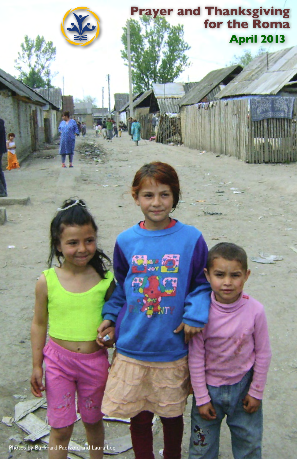

**Prayer and Thanksgiving**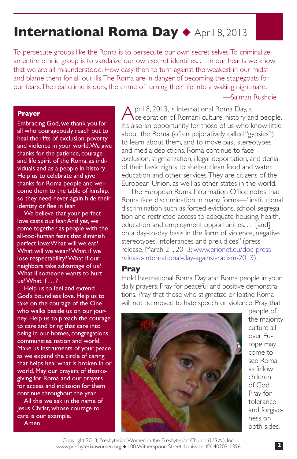# **International Roma Day ◆ April 8, 2013**

To persecute groups like the Roma is to persecute our own secret selves. To criminalize an entire ethnic group is to vandalize our own secret identities. . . . In our hearts we know that we are all misunderstood. How easy then to turn against the weakest in our midst and blame them for all our ills. The Roma are in danger of becoming the scapegoats for our fears. The real crime is ours, the crime of turning their life into a waking nightmare. —Salman Rushdie

#### **Prayer**

Embracing God, we thank you for all who courageously reach out to heal the rifts of exclusion, poverty and violence in your world. We give thanks for the patience, courage and life spirit of the Roma, as individuals and as a people in history. Help us to celebrate and give thanks for Roma people and welcome them to the table of kinship, so they need never again hide their identity or flee in fear.

We believe that your perfect love casts out fear. And yet, we come together as people with the all-too-human fears that diminish perfect love: What will we eat? What will we wear? What if we lose respectability? What if our neighbors take advantage of us? What if someone wants to hurt us? What if . . .?

Help us to feel and extend God's boundless love. Help us to take on the courage of the One who walks beside us on our journey. Help us to preach the courage to care and bring that care into being in our homes, congregations, communities, nation and world. Make us instruments of your peace as we expand the circle of caring that helps heal what is broken in or world. May our prayers of thanksgiving for Roma and our prayers for access and inclusion for them continue throughout the year.

All this we ask in the name of Jesus Christ, whose courage to care is our example. Amen.

A pril 8, 2013, is International Roma Day, a celebration of Romani culture, history and people. It's also an opportunity for those of us who know little about the Roma (often pejoratively called "gypsies") to learn about them, and to move past stereotypes and media depictions. Roma continue to face exclusion, stigmatization, illegal deportation, and denial of their basic rights to shelter, clean food and water, education and other services. They are citizens of the European Union, as well as other states in the world.

The European Roma Information Office notes that Roma face discrimination in many forms—"institutional discrimination such as forced evictions, school segregation and restricted access to adequate housing, health, education and employment opportunities. . . . [and] on a day-to-day basis in the form of violence, negative stereotypes, intolerances and prejudices" (press release, March 21, 2013; www.erionet.eu/doc-pressrelease-international-day-against-racism-2013).

# **Pray**

Hold International Roma Day and Roma people in your daily prayers. Pray for peaceful and positive demonstrations. Pray that those who stigmatize or loathe Roma will not be moved to hate speech or violence. Pray that



people of the majority culture all over Europe may come to see Roma as fellow children of God. Pray for tolerance and forgiveness on both sides.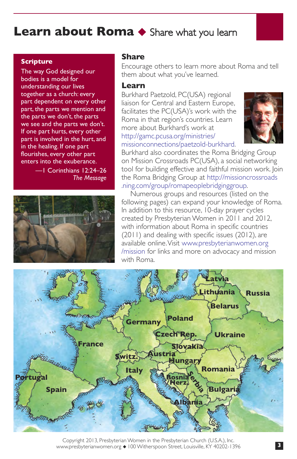# **Learn about Roma ◆ Share what you learn**

### **Scripture**

The way God designed our bodies is a model for understanding our lives together as a church: every part dependent on every other part, the parts we mention and the parts we don't, the parts we see and the parts we don't. If one part hurts, every other part is involved in the hurt, and in the healing. If one part flourishes, every other part enters into the exuberance.

—1 Corinthians 12:24–26 *The Message*



# **Share**

Encourage others to learn more about Roma and tell them about what you've learned.

### **Learn**

Burkhard Paetzold, PC(USA) regional liaison for Central and Eastern Europe, facilitates the PC(USA)'s work with the Roma in that region's countries. Learn more about Burkhard's work at http://gamc.pcusa.org/ministries/ [missionconnections/paetzold-burkhard.](http://gamc.pcusa.org/ministries/missionconnections/paetzold-burkhard)



Burkhard also coordinates the Roma Bridging Group on Mission Crossroads PC(USA), a social networking tool for building effective and faithful mission work. Join the Roma Bridging Group at [http://missioncrossroads](http://missioncrossroads.ning.com/group/romapeoplebridginggroup) [.ning.com/group/romapeoplebridginggroup.](http://missioncrossroads.ning.com/group/romapeoplebridginggroup)

Numerous groups and resources (listed on the following pages) can expand your knowledge of Roma. In addition to this resource, 10-day prayer cycles created by Presbyterian Women in 2011 and 2012, with information about Roma in specific countries (2011) and dealing with specific issues (2012), are available online. Visit [www.presbyterianwomen.org](www.presbyterianwomen.org/mission) [/mission](www.presbyterianwomen.org/mission) for links and more on advocacy and mission with Roma.



Copyright 2013, Presbyterian Women in the Presbyterian Church (U.S.A.), Inc. www.presbyterianwomen.org ◆ 100 Witherspoon Street, Louisville, KY 40202-1396 **3**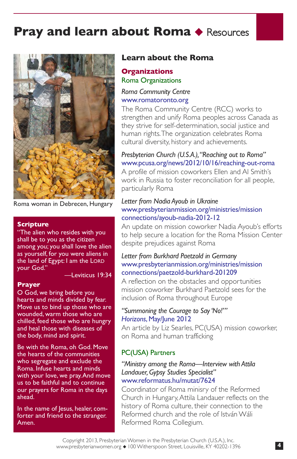

Roma woman in Debrecen, Hungary

#### **Scripture**

"The alien who resides with you shall be to you as the citizen among you; you shall love the alien as yourself, for you were aliens in the land of Egypt: I am the LORD your God."

—Leviticus 19:34

### **Prayer**

O God, we bring before you hearts and minds divided by fear. Move us to bind up those who are wounded, warm those who are chilled, feed those who are hungry and heal those with diseases of the body, mind and spirit.

Be with the Roma, oh God. Move the hearts of the communities who segregate and exclude the Roma. Infuse hearts and minds with your love, we pray. And move us to be faithful and to continue our prayers for Roma in the days ahead.

In the name of Jesus, healer, comforter and friend to the stranger. Amen.

# **Learn about the Roma**

# **Organizations** Roma Organizations

# *Roma Community Centre* www.romatoronto.org

The Roma Community Centre (RCC) works to strengthen and unify Roma peoples across Canada as they strive for self-determination, social justice and human rights. The organization celebrates Roma cultural diversity, history and achievements.

# *Presbyterian Church (U.S.A.), "Reaching out to Roma"*  www.pcusa.org/news/2012/10/16/reaching-out-roma

A profile of mission coworkers Ellen and Al Smith's work in Russia to foster reconciliation for all people, particularly Roma

## *Letter from Nadia Ayoub in Ukraine* [www.presbyterianmission.org/ministries/mission](www.presbyterianmission.org/ministries/missionconnections/ayoub-nadia-2012-12) connections/ayoub-nadia-2012-12

An update on mission coworker Nadia Ayoub's efforts to help secure a location for the Roma Mission Center despite prejudices against Roma

# *Letter from Burkhard Paetzold in Germany* [www.presbyterianmission.org/ministries/mission](www.presbyterianmission.org/ministries/missionconnections/paetzold-burkhard-201209) connections/paetzold-burkhard-201209

A reflection on the obstacles and opportunities mission coworker Burkhard Paetzold sees for the inclusion of Roma throughout Europe

## *"Summoning the Courage to Say 'No!'" [Horizons](www.pcusa.org/horizons)*, May/June 2012

An article by Liz Searles, PC(USA) mission coworker, on Roma and human trafficking

# PC(USA) Partners

# *"Ministry among the Roma—Interview with Attila Landauer, Gypsy Studies Specialist"* <www.reformatus.hu/mutat/7624>

Coordinator of Roma minisry of the Reformed Church in Hungary, Attila Landauer reflects on the history of Roma culture, their connection to the Reformed church and the role of István Wáli Reformed Roma Collegium.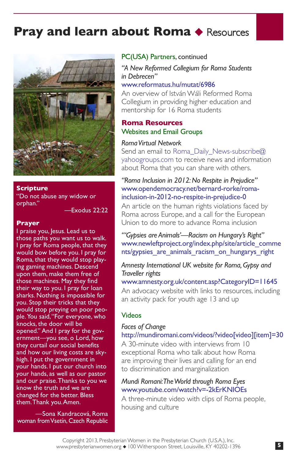

#### **Scripture**

"Do not abuse any widow or orphan."

—Exodus 22:22

#### **Prayer**

I praise you, Jesus. Lead us to those paths you want us to walk. I pray for Roma people, that they would bow before you. I pray for Roma, that they would stop playing gaming machines. Descend upon them, make them free of those machines. May they find their way to you. I pray for loan sharks. Nothing is impossible for you. Stop their tricks that they would stop preying on poor people. You said, "For everyone, who .<br>knocks, the door will be opened." And I pray for the government—you see, o Lord, how they curtail our social benefits and how our living costs are skyhigh. I put the government in your hands. I put our church into your hands, as well as our pastor and our praise. Thanks to you we know the truth and we are changed for the better. Bless them. Thank you. Amen.

—Sona Kandracová, Roma woman from Vsetín, Czech Republic

#### PC(USA) Partners, continued

*"A New Reformed Collegium for Roma Students in Debrecen"*

# <www.reformatus.hu/mutat/6986>

An overview of István Wáli Reformed Roma Collegium in providing higher education and mentorship for 16 Roma students

# **Roma Resources** Websites and Email Groups

## *Roma Virtual Network*

Send an email to [Roma\\_Daily\\_News-subscribe@](mail to: Roma_Daily_News-subscribe@yahoogroups.com) [yahoogroups.com](Mail to: Roma_Daily_News-subscribe@yahoogroups.com) to receive news and information about Roma that you can share with others.

# *"Roma Inclusion in 2012: No Respite in Prejudice"* [www.opendemocracy.net/bernard-rorke/roma](www.opendemocracy.net/bernard-rorke/roma-inclusion-in-2012-no-respite-in-prejudice-0)inclusion-in-2012-no-respite-in-prejudice-0

An article on the human rights violations faced by Roma across Europe, and a call for the European Union to do more to advance Roma inclusion

*"'Gypsies are Animals'—Racism on Hungary's Right"* [www.newleftproject.org/index.php/site/article\\_comme](www.newleftproject.org/index.php/site/article_comments/gypsies_are_animals_racism_on_hungarys_right) nts/gypsies\_are\_animals\_racism\_on\_hungarys\_right

*Amnesty International UK website for Roma, Gypsy and Traveller rights* 

www.amnesty.org.uk/content.asp?CategoryID=11645 An advocacy website with links to resources, including an activity pack for youth age 13 and up

## Videos

## *Faces of Change*

## http://mundiromani.com/videos/?video[video][item]=30

A 30-minute video with interviews from 10 exceptional Roma who talk about how Roma are improving their lives and calling for an end to discrimination and marginalization

# *Mundi Romani: The World through Roma Eyes* www.youtube.com/watch?v=-2kErKNIOEs

A three-minute video with clips of Roma people, housing and culture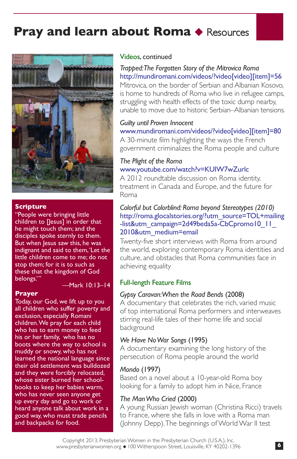

#### **Scripture**

"People were bringing little children to [Jesus] in order that he might touch them; and the disciples spoke sternly to them. But when Jesus saw this, he was indignant and said to them, 'Let the little children come to me; do not stop them; for it is to such as these that the kingdom of God belongs."

—Mark 10:13–14

#### **Prayer**

Today, our God, we lift up to you all children who suffer poverty and exclusion, especially Romani children. We pray for each child who has to earn money to feed his or her family, who has no boots where the way to school is muddy or snowy, who has not learned the national language since their old settlement was bulldozed and they were forcibly relocated, whose sister burned her schoolbooks to keep her babies warm, who has never seen anyone get up every day and go to work or heard anyone talk about work in a good way, who must trade pencils and backpacks for food.

#### Videos, continued

# *Trapped: The Forgotten Story of the Mitrovica Roma* [http://mundiromani.com/videos/?video\[video\]\[item\]=56](http://mundiromani.com/videos/?video[video][item]=56)

Mitrovica, on the border of Serbian and Albanian Kosovo, is home to hundreds of Roma who live in refugee camps, struggling with health effects of the toxic dump nearby, unable to move due to historic Serbian–Albanian tensions.

#### *Guilty until Proven Innocent*

## [www.mundiromani.com/videos/?video\[video\]\[item\]=80](http://mundiromani.com/videos/?video[video][item]=80) A 30-minute film highlighting the ways the French

government criminalizes the Roma people and culture

## *The Plight of the Roma*  www.youtube.com/watch?v=KUIW7wZurlc

A 2012 roundtable discussion on Roma identity, treatment in Canada and Europe, and the future for Roma

# *Colorful but Colorblind: Roma beyond Stereotypes (2010)* [http://roma.glocalstories.org/?utm\\_source=TOL+mailing](http://roma.glocalstories.org/?utm_source=TOL+mailing-list&utm_campaign=2d49beda5a-CbCpromo10_11_2010&utm_medium=email) -list&utm\_campaign=2d49beda5a-CbCpromo10\_11 2010&utm\_medium=email

Twenty-five short interviews with Roma from around the world, exploring contemporary Roma identities and culture, and obstacles that Roma communities face in achieving equality

### Full-length Feature Films

## *Gypsy Caravan: When the Road Bends* (2008)

A documentary that celebrates the rich, varied music of top international Roma performers and interweaves stirring real-life tales of their home life and social background

## *We Have No War Songs* (1995)

A documentary examining the long history of the persecution of Roma people around the world

## *Mondo* (1997)

Based on a novel about a 10-year-old Roma boy looking for a family to adopt him in Nice, France

## *The Man Who Cried* (2000)

A young Russian Jewish woman (Christina Ricci) travels to France, where she falls in love with a Roma man (Johnny Depp). The beginnings of World War II test